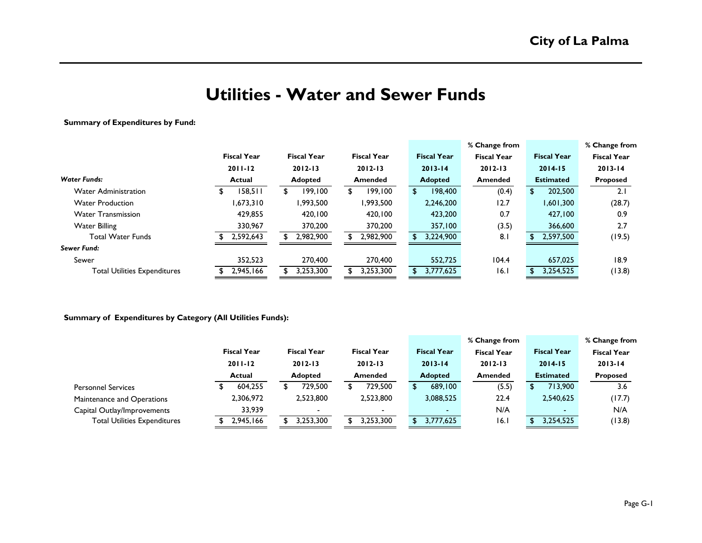# **Utilities - Water and Sewer Funds**

### **Summary of Expenditures by Fund:**

|                                     |                    |                    |                    |    |                    | % Change from      |    |                    | % Change from      |
|-------------------------------------|--------------------|--------------------|--------------------|----|--------------------|--------------------|----|--------------------|--------------------|
|                                     | <b>Fiscal Year</b> | <b>Fiscal Year</b> | <b>Fiscal Year</b> |    | <b>Fiscal Year</b> | <b>Fiscal Year</b> |    | <b>Fiscal Year</b> | <b>Fiscal Year</b> |
|                                     | $2011 - 12$        | $2012 - 13$        | $2012 - 13$        |    | $2013 - 14$        | $2012 - 13$        |    | $2014 - 15$        | $2013 - 14$        |
| <b>Water Funds:</b>                 | <b>Actual</b>      | <b>Adopted</b>     | <b>Amended</b>     |    | <b>Adopted</b>     | <b>Amended</b>     |    | <b>Estimated</b>   | <b>Proposed</b>    |
| <b>Water Administration</b>         | 158,511            | 199,100            | 199,100            | S. | 198,400            | (0.4)              | £. | 202,500            | 2.1                |
| <b>Water Production</b>             | ,673,310           | 1,993,500          | 1,993,500          |    | 2,246,200          | 12.7               |    | 1,601,300          | (28.7)             |
| <b>Water Transmission</b>           | 429,855            | 420,100            | 420.100            |    | 423,200            | 0.7                |    | 427,100            | 0.9                |
| <b>Water Billing</b>                | 330,967            | 370,200            | 370,200            |    | 357,100            | (3.5)              |    | 366,600            | 2.7                |
| <b>Total Water Funds</b>            | 2,592,643          | 2,982,900          | 2,982,900          |    | 3,224,900          | 8.1                |    | 2,597,500          | (19.5)             |
| Sewer Fund:                         |                    |                    |                    |    |                    |                    |    |                    |                    |
| Sewer                               | 352,523            | 270,400            | 270,400            |    | 552,725            | 104.4              |    | 657,025            | 18.9               |
| <b>Total Utilities Expenditures</b> | 2,945,166          | 3,253,300          | 3,253,300          |    | 3,777,625          | 16.1               |    | 3,254,525          | (13.8)             |
|                                     |                    |                    |                    |    |                    |                    |    |                    |                    |

### **Summary of Expenditures by Category (All Utilities Funds):**

|                                     |                    |                          |                          |                    | % Change from      |                          | % Change from      |
|-------------------------------------|--------------------|--------------------------|--------------------------|--------------------|--------------------|--------------------------|--------------------|
|                                     | <b>Fiscal Year</b> | <b>Fiscal Year</b>       | <b>Fiscal Year</b>       | <b>Fiscal Year</b> | <b>Fiscal Year</b> | <b>Fiscal Year</b>       | <b>Fiscal Year</b> |
|                                     | $2011 - 12$        | $2012 - 13$              | $2012 - 13$              | $2013 - 14$        | $2012 - 13$        | $2014 - 15$              | $2013 - 14$        |
|                                     | <b>Actual</b>      | Adopted                  | Amended                  | <b>Adopted</b>     | Amended            | <b>Estimated</b>         | <b>Proposed</b>    |
| <b>Personnel Services</b>           | 604,255            | 729,500                  | 729,500                  | 689,100            | (5.5)              | 713,900                  | 3.6                |
| Maintenance and Operations          | 2,306,972          | 2,523,800                | 2,523,800                | 3,088,525          | 22.4               | 2,540,625                | (17.7)             |
| Capital Outlay/Improvements         | 33,939             | $\overline{\phantom{0}}$ | $\overline{\phantom{0}}$ |                    | N/A                | $\overline{\phantom{0}}$ | N/A                |
| <b>Total Utilities Expenditures</b> | 2,945,166          | 3,253,300                | 3,253,300                | 3,777,625          | 16.1               | 3,254,525                | (13.8)             |
|                                     |                    |                          |                          |                    |                    |                          |                    |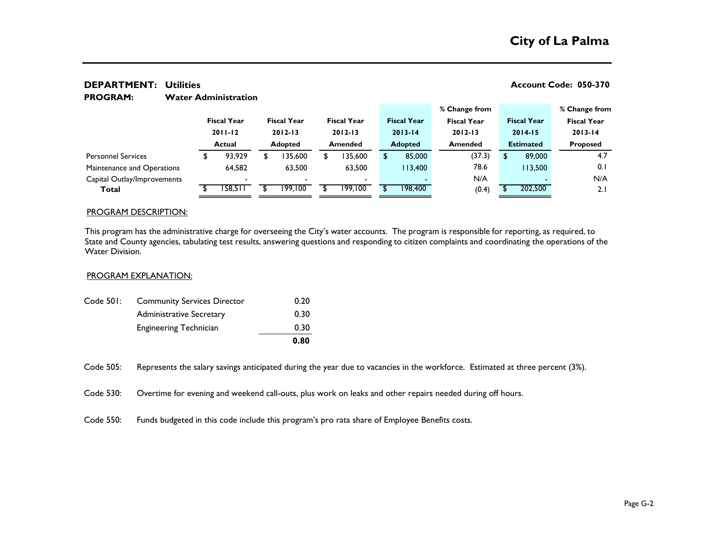#### **% Change from % Change from Fiscal Year Fiscal Year Fiscal Year Fiscal Year Fiscal Year Fiscal Year Fiscal Year 2011-12 2012-13 2012-13 2013-14 2012-13 2014-15 2013-14 Actual Adopted Amended Adopted Amended Estimated Proposed** \$ 93,929 \$ 135,600 \$ 135,600 \$ 85,000 (37.3) \$ 89,000 4.7 64,582 63,500 63,500 113,400 78.6 113,500 0.1 - - - - N/A - N/A **Total** \$ 158,511 \$ 199,100 \$ 199,100 \$ 198,400 (0.4) \$ 202,500 2.1 Capital Outlay/Improvements Maintenance and Operations Personnel Services

### **DEPARTMENT:** Utilities **No. 28. 2018 12:30 12:30 12:30 12:30 12:30 12:30 12:30 12:37 12:37 12:37 12:37 12:37 12:37 12:37 12:37 12:37 12:37 12:37 12:37 12:37 12:37 12:37 12:37 12:37 12:37 12:37 12:37 12:37 12:37 12:37 12:3**

#### **Water Administration PROGRAM:**

#### PROGRAM DESCRIPTION:

This program has the administrative charge for overseeing the City's water accounts. The program is responsible for reporting, as required, to State and County agencies, tabulating test results, answering questions and responding to citizen complaints and coordinating the operations of the Water Division.

#### PROGRAM EXPLANATION:

|           |                                    | 0.80 |
|-----------|------------------------------------|------|
|           | <b>Engineering Technician</b>      | 0.30 |
|           | <b>Administrative Secretary</b>    | 0.30 |
| Code 501: | <b>Community Services Director</b> | 0.20 |

Code 505: Represents the salary savings anticipated during the year due to vacancies in the workforce. Estimated at three percent (3%).

Code 530: Overtime for evening and weekend call-outs, plus work on leaks and other repairs needed during off hours.

Code 550: Funds budgeted in this code include this program's pro rata share of Employee Benefits costs.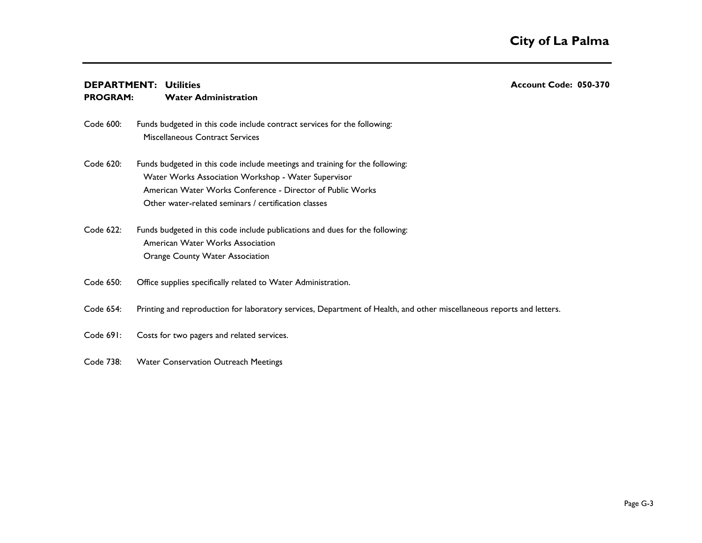## **DEPARTMENT:** Utilities **No. 28. 2018 12:30 12:30 12:30 12:30 12:30 12:30 12:30 12:37 12:37 12:37 12:37 12:37 12:37 12:37 12:37 12:37 12:37 12:37 12:37 12:37 12:37 12:37 12:37 12:37 12:37 12:37 12:37 12:37 12:37 12:37 12:3**

#### **Water Administration PROGRAM:**

- Code 600: Miscellaneous Contract Services Funds budgeted in this code include contract services for the following:
- Code 620: Water Works Association Workshop - Water Supervisor American Water Works Conference - Director of Public Works Other water-related seminars / certification classes Funds budgeted in this code include meetings and training for the following:
- Code 622: American Water Works Association Orange County Water Association Funds budgeted in this code include publications and dues for the following:
- Code 650: Office supplies specifically related to Water Administration.
- Code 654: Printing and reproduction for laboratory services, Department of Health, and other miscellaneous reports and letters.
- Code 691: Costs for two pagers and related services.
- Code 738: Water Conservation Outreach Meetings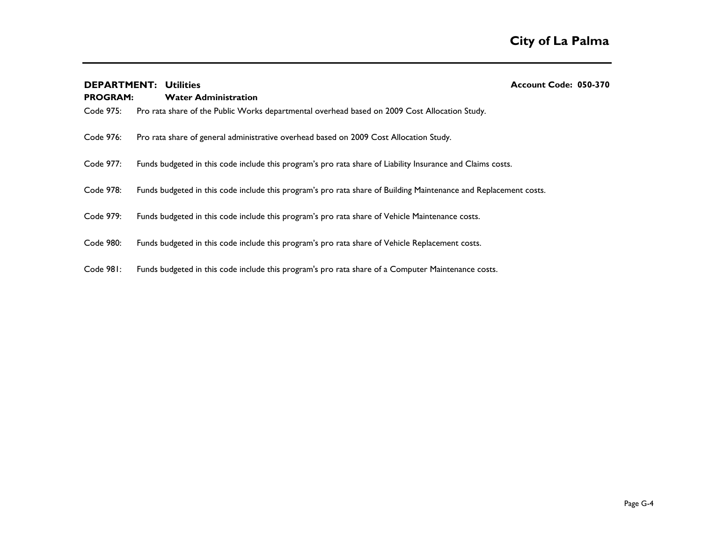| <b>DEPARTMENT:</b><br><b>PROGRAM:</b> | <b>Utilities</b><br><b>Water Administration</b>                                                                  | Account Code: 050-370 |  |
|---------------------------------------|------------------------------------------------------------------------------------------------------------------|-----------------------|--|
| Code 975:                             | Pro rata share of the Public Works departmental overhead based on 2009 Cost Allocation Study.                    |                       |  |
| Code 976:                             | Pro rata share of general administrative overhead based on 2009 Cost Allocation Study.                           |                       |  |
| Code 977:                             | Funds budgeted in this code include this program's pro rata share of Liability Insurance and Claims costs.       |                       |  |
| Code 978:                             | Funds budgeted in this code include this program's pro rata share of Building Maintenance and Replacement costs. |                       |  |
| Code 979:                             | Funds budgeted in this code include this program's pro rata share of Vehicle Maintenance costs.                  |                       |  |
| Code 980:                             | Funds budgeted in this code include this program's pro rata share of Vehicle Replacement costs.                  |                       |  |
| Code 981:                             | Funds budgeted in this code include this program's pro rata share of a Computer Maintenance costs.               |                       |  |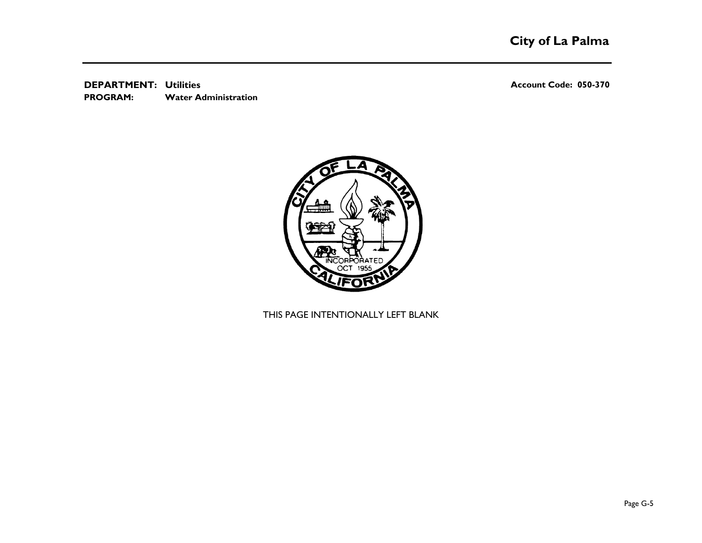**DEPARTMENT:** Utilities **No. 28. 2018 12:30 12:30 12:30 12:30 12:30 12:30 12:30 12:37 12:37 12:37 12:37 12:37 12:37 12:37 12:37 12:37 12:37 12:37 12:37 12:37 12:37 12:37 12:37 12:37 12:37 12:37 12:37 12:37 12:37 12:37 12:3 Water Administration PROGRAM:** 



THIS PAGE INTENTIONALLY LEFT BLANK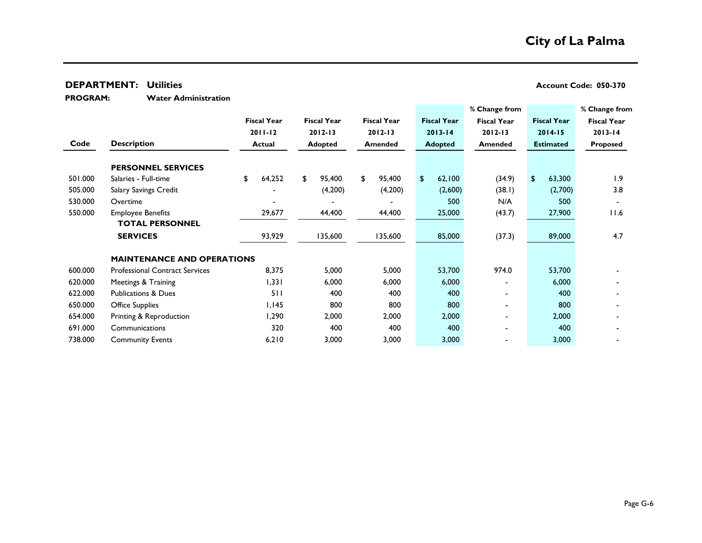**Water Administration PROGRAM:** 

|         |                                       |                    |                    |                    |                    | % Change from            |                          | % Change from      |
|---------|---------------------------------------|--------------------|--------------------|--------------------|--------------------|--------------------------|--------------------------|--------------------|
|         |                                       | <b>Fiscal Year</b> | <b>Fiscal Year</b> | <b>Fiscal Year</b> | <b>Fiscal Year</b> | <b>Fiscal Year</b>       | <b>Fiscal Year</b>       | <b>Fiscal Year</b> |
|         |                                       | $2011 - 12$        | $2012 - 13$        | $2012 - 13$        | $2013 - 14$        | $2012 - 13$              | $2014 - 15$              | $2013 - 14$        |
| Code    | <b>Description</b>                    | <b>Actual</b>      | Adopted            | <b>Amended</b>     | <b>Adopted</b>     | <b>Amended</b>           | <b>Estimated</b>         | Proposed           |
|         | <b>PERSONNEL SERVICES</b>             |                    |                    |                    |                    |                          |                          |                    |
| 501.000 | Salaries - Full-time                  | 64,252<br>\$       | \$<br>95,400       | \$<br>95,400       | 62,100<br>\$       | (34.9)                   | 63,300<br>$\mathfrak{D}$ | 1.9                |
| 505.000 | Salary Savings Credit                 |                    | (4,200)            | (4,200)            | (2,600)            | (38.1)                   | (2,700)                  | 3.8                |
| 530.000 | Overtime                              |                    |                    |                    | 500                | N/A                      | 500                      |                    |
| 550.000 | <b>Employee Benefits</b>              | 29,677             | 44,400             | 44,400             | 25,000             | (43.7)                   | 27,900                   | 11.6               |
|         | <b>TOTAL PERSONNEL</b>                |                    |                    |                    |                    |                          |                          |                    |
|         | <b>SERVICES</b>                       | 93,929             | 135,600            | 135,600            | 85,000             | (37.3)                   | 89,000                   | 4.7                |
|         | <b>MAINTENANCE AND OPERATIONS</b>     |                    |                    |                    |                    |                          |                          |                    |
| 600.000 | <b>Professional Contract Services</b> | 8,375              | 5,000              | 5,000              | 53,700             | 974.0                    | 53,700                   |                    |
| 620.000 | Meetings & Training                   | 1,331              | 6,000              | 6,000              | 6,000              | $\overline{\phantom{0}}$ | 6,000                    |                    |
| 622.000 | <b>Publications &amp; Dues</b>        | 511                | 400                | 400                | 400                |                          | 400                      |                    |
| 650.000 | <b>Office Supplies</b>                | I, I45             | 800                | 800                | 800                | $\overline{\phantom{0}}$ | 800                      |                    |
| 654.000 | Printing & Reproduction               | 1,290              | 2,000              | 2,000              | 2,000              | $\blacksquare$           | 2,000                    |                    |
| 691.000 | Communications                        | 320                | 400                | 400                | 400                |                          | 400                      |                    |
| 738.000 | <b>Community Events</b>               | 6,210              | 3,000              | 3,000              | 3,000              |                          | 3,000                    |                    |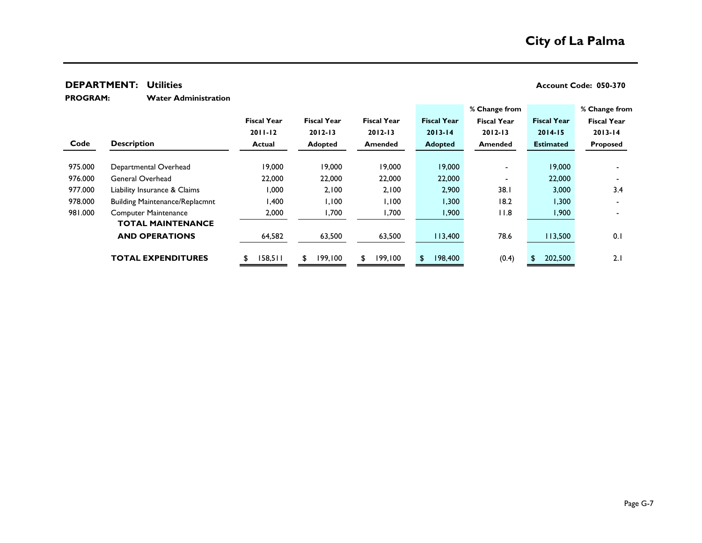**Water Administration PROGRAM:** 

|         |                                       |                    |                    |                    |                    | % Change from      |                    | % Change from      |
|---------|---------------------------------------|--------------------|--------------------|--------------------|--------------------|--------------------|--------------------|--------------------|
|         |                                       | <b>Fiscal Year</b> | <b>Fiscal Year</b> | <b>Fiscal Year</b> | <b>Fiscal Year</b> | <b>Fiscal Year</b> | <b>Fiscal Year</b> | <b>Fiscal Year</b> |
|         |                                       | $2011 - 12$        | $2012 - 13$        | $2012 - 13$        | $2013 - 14$        | $2012 - 13$        | $2014 - 15$        | $2013 - 14$        |
| Code    | <b>Description</b>                    | <b>Actual</b>      | Adopted            | <b>Amended</b>     | <b>Adopted</b>     | <b>Amended</b>     | <b>Estimated</b>   | <b>Proposed</b>    |
|         |                                       |                    |                    |                    |                    |                    |                    |                    |
| 975.000 | Departmental Overhead                 | 19,000             | 19,000             | 19,000             | 19,000             |                    | 19,000             |                    |
| 976.000 | General Overhead                      | 22,000             | 22,000             | 22,000             | 22,000             |                    | 22,000             |                    |
| 977.000 | Liability Insurance & Claims          | 1,000              | 2,100              | 2,100              | 2,900              | 38.1               | 3,000              | 3.4                |
| 978.000 | <b>Building Maintenance/Replacmnt</b> | 400,١              | 1,100              | 1,100              | 1,300              | 18.2               | .300 ا             |                    |
| 981.000 | <b>Computer Maintenance</b>           | 2,000              | ,700               | 1,700              | 1,900              | 11.8               | 1,900              |                    |
|         | <b>TOTAL MAINTENANCE</b>              |                    |                    |                    |                    |                    |                    |                    |
|         | <b>AND OPERATIONS</b>                 | 64,582             | 63,500             | 63,500             | 113,400            | 78.6               | 113,500            | 0.1                |
|         |                                       |                    |                    |                    |                    |                    |                    |                    |
|         | <b>TOTAL EXPENDITURES</b>             | 158,511            | 199,100            | 199,100<br>£.      | 198,400            | (0.4)              | 202,500            | 2.1                |
|         |                                       |                    |                    |                    |                    |                    |                    |                    |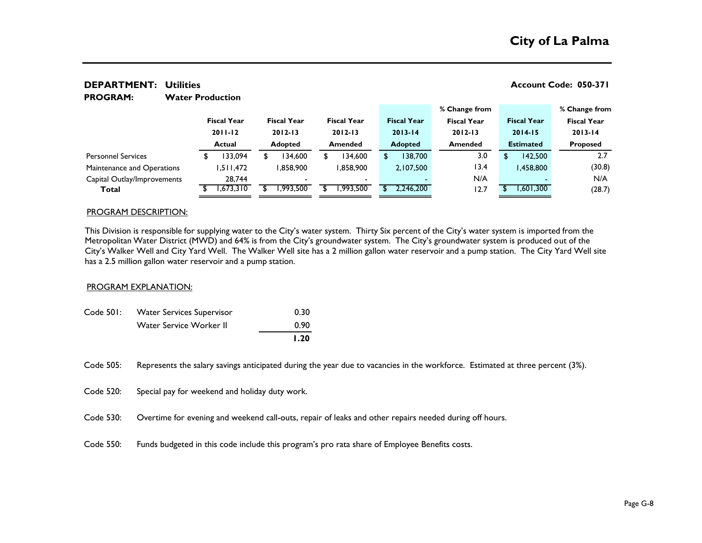#### **Water Production % Change from % Change from Fiscal Year Fiscal Year Fiscal Year Fiscal Year Fiscal Year Fiscal Year Fiscal Year 2011-12 2012-13 2012-13 2013-14 2012-13 2014-15 2013-14 Actual Adopted Amended Adopted Amended Estimated Proposed** \$ 133,094 \$ 134,600 \$ 134,600 \$ 138,700 3.0 \$ 142,500 2.7 1,511,472 1,858,900 1,858,900 2,107,500 13.4 1,458,800 (30.8) 28,744 - - - N/A - N/A **Total** \$ 1,673,310 \$ 1,993,500 \$ 1,993,500 \$ 2,246,200 12.7 \$ 1,601,300 (28.7) Capital Outlay/Improvements Maintenance and Operations **PROGRAM:**  Personnel Services

**DEPARTMENT: Account Code: 050-371 Utilities**

## PROGRAM DESCRIPTION:

This Division is responsible for supplying water to the City's water system. Thirty Six percent of the City's water system is imported from the Metropolitan Water District (MWD) and 64% is from the City's groundwater system. The City's groundwater system is produced out of the City's Walker Well and City Yard Well. The Walker Well site has a 2 million gallon water reservoir and a pump station. The City Yard Well site has a 2.5 million gallon water reservoir and a pump station.

#### PROGRAM EXPLANATION:

|           |                                  | 1.20 |
|-----------|----------------------------------|------|
|           | Water Service Worker II          | 0.90 |
| Code 501: | <b>Water Services Supervisor</b> | 0.30 |

Code 505: Represents the salary savings anticipated during the year due to vacancies in the workforce. Estimated at three percent (3%).

Code 520: Special pay for weekend and holiday duty work.

Code 530: Overtime for evening and weekend call-outs, repair of leaks and other repairs needed during off hours.

Code 550: Funds budgeted in this code include this program's pro rata share of Employee Benefits costs.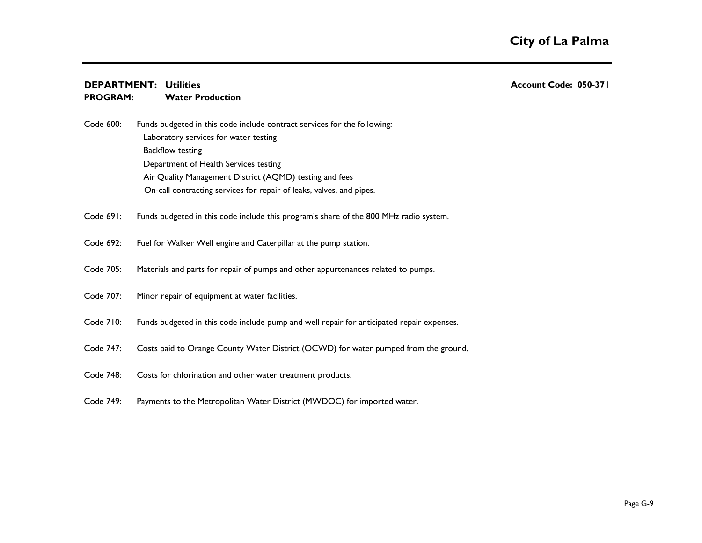#### **DEPARTMENT: Account Code: 050-371 Utilities Water Production PROGRAM:**

- Code 600: Laboratory services for water testing Backflow testing Department of Health Services testing Air Quality Management District (AQMD) testing and fees Funds budgeted in this code include contract services for the following: On-call contracting services for repair of leaks, valves, and pipes.
- Code 691: Funds budgeted in this code include this program's share of the 800 MHz radio system.
- Code 692: Fuel for Walker Well engine and Caterpillar at the pump station.
- Code 705: Materials and parts for repair of pumps and other appurtenances related to pumps.
- Code 707: Minor repair of equipment at water facilities.
- Code 710: Funds budgeted in this code include pump and well repair for anticipated repair expenses.
- Code 747: Costs paid to Orange County Water District (OCWD) for water pumped from the ground.
- Code 748: Costs for chlorination and other water treatment products.
- Code 749: Payments to the Metropolitan Water District (MWDOC) for imported water.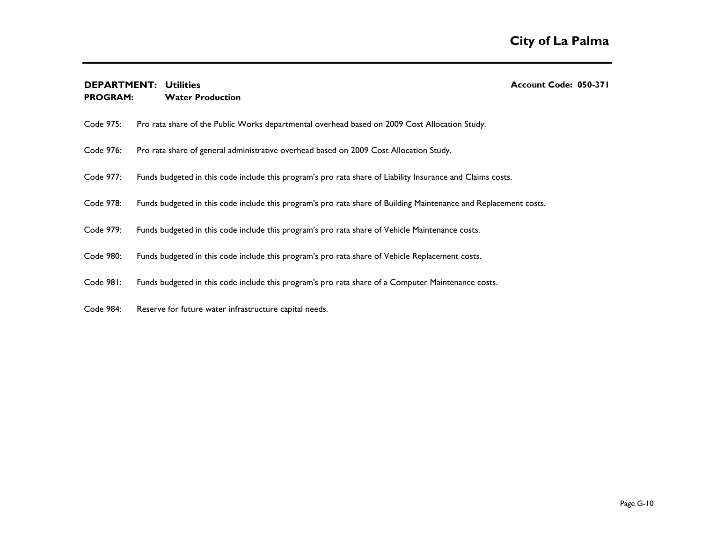#### **DEPARTMENT: Account Code: 050-371 Utilities Water Production PROGRAM:**

| Code 975: | Pro rata share of the Public Works departmental overhead based on 2009 Cost Allocation Study.                    |
|-----------|------------------------------------------------------------------------------------------------------------------|
| Code 976: | Pro rata share of general administrative overhead based on 2009 Cost Allocation Study.                           |
| Code 977: | Funds budgeted in this code include this program's pro rata share of Liability Insurance and Claims costs.       |
| Code 978: | Funds budgeted in this code include this program's pro rata share of Building Maintenance and Replacement costs. |
| Code 979: | Funds budgeted in this code include this program's pro rata share of Vehicle Maintenance costs.                  |
| Code 980: | Funds budgeted in this code include this program's pro rata share of Vehicle Replacement costs.                  |
| Code 981: | Funds budgeted in this code include this program's pro rata share of a Computer Maintenance costs.               |
| Code 984: | Reserve for future water infrastructure capital needs.                                                           |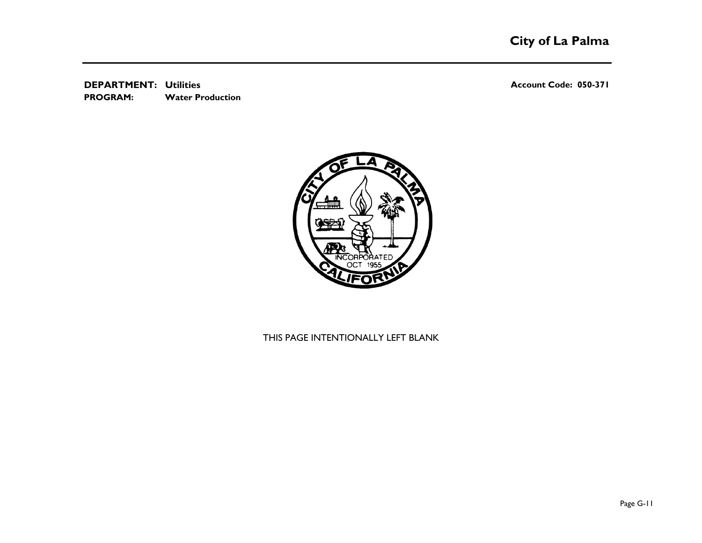**DEPARTMENT: Account Code: 050-371 Utilities Water Production PROGRAM:** 



## THIS PAGE INTENTIONALLY LEFT BLANK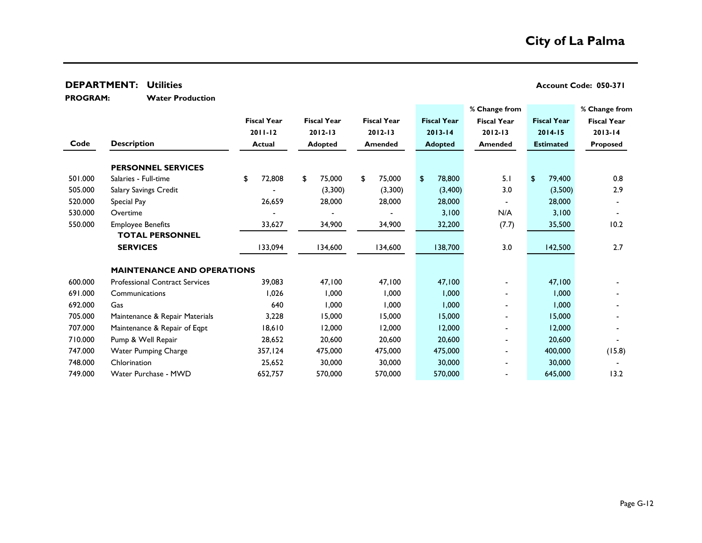**PROGRAM:** 

**Water Production**

|         |                                       |                    |                    |                    |                    | % Change from      |                    | % Change from      |
|---------|---------------------------------------|--------------------|--------------------|--------------------|--------------------|--------------------|--------------------|--------------------|
|         |                                       | <b>Fiscal Year</b> | <b>Fiscal Year</b> | <b>Fiscal Year</b> | <b>Fiscal Year</b> | <b>Fiscal Year</b> | <b>Fiscal Year</b> | <b>Fiscal Year</b> |
|         |                                       | $2011 - 12$        | $2012 - 13$        | $2012 - 13$        | $2013 - 14$        | $2012 - 13$        | $2014 - 15$        | $2013 - 14$        |
| Code    | <b>Description</b>                    | <b>Actual</b>      | <b>Adopted</b>     | Amended            | <b>Adopted</b>     | <b>Amended</b>     | <b>Estimated</b>   | <b>Proposed</b>    |
|         | <b>PERSONNEL SERVICES</b>             |                    |                    |                    |                    |                    |                    |                    |
| 501.000 | Salaries - Full-time                  | 72,808<br>\$       | 75,000<br>\$       | \$<br>75,000       | 78,800<br>\$       | 5.1                | 79,400<br>\$       | 0.8                |
| 505.000 | Salary Savings Credit                 |                    | (3,300)            | (3,300)            | (3,400)            | 3.0                | (3,500)            | 2.9                |
| 520.000 | Special Pay                           | 26,659             | 28,000             | 28,000             | 28,000             | $\blacksquare$     | 28,000             |                    |
| 530.000 | Overtime                              |                    |                    |                    | 3,100              | N/A                | 3,100              |                    |
| 550.000 | <b>Employee Benefits</b>              | 33,627             | 34,900             | 34,900             | 32,200             | (7.7)              | 35,500             | 10.2               |
|         | <b>TOTAL PERSONNEL</b>                |                    |                    |                    |                    |                    |                    |                    |
|         | <b>SERVICES</b>                       | 133,094            | 134,600            | 134,600            | 138,700            | 3.0                | 142,500            | 2.7                |
|         | <b>MAINTENANCE AND OPERATIONS</b>     |                    |                    |                    |                    |                    |                    |                    |
| 600.000 | <b>Professional Contract Services</b> | 39,083             | 47,100             | 47,100             | 47,100             |                    | 47,100             |                    |
| 691.000 | Communications                        | 1,026              | 1,000              | 1,000              | 1,000              |                    | 1,000              |                    |
| 692.000 | Gas                                   | 640                | 1,000              | 1,000              | 1,000              | $\blacksquare$     | 1,000              |                    |
| 705.000 | Maintenance & Repair Materials        | 3,228              | 15,000             | 15,000             | 15,000             | $\blacksquare$     | 15,000             |                    |
| 707.000 | Maintenance & Repair of Eqpt          | 18,610             | 12,000             | 12,000             | 12,000             |                    | 12,000             |                    |
| 710.000 | Pump & Well Repair                    | 28,652             | 20,600             | 20,600             | 20,600             | $\blacksquare$     | 20,600             |                    |
| 747.000 | <b>Water Pumping Charge</b>           | 357,124            | 475,000            | 475,000            | 475,000            | $\blacksquare$     | 400,000            | (15.8)             |
| 748.000 | Chlorination                          | 25,652             | 30,000             | 30,000             | 30,000             | $\blacksquare$     | 30,000             |                    |
| 749.000 | Water Purchase - MWD                  | 652,757            | 570,000            | 570,000            | 570,000            |                    | 645,000            | 13.2               |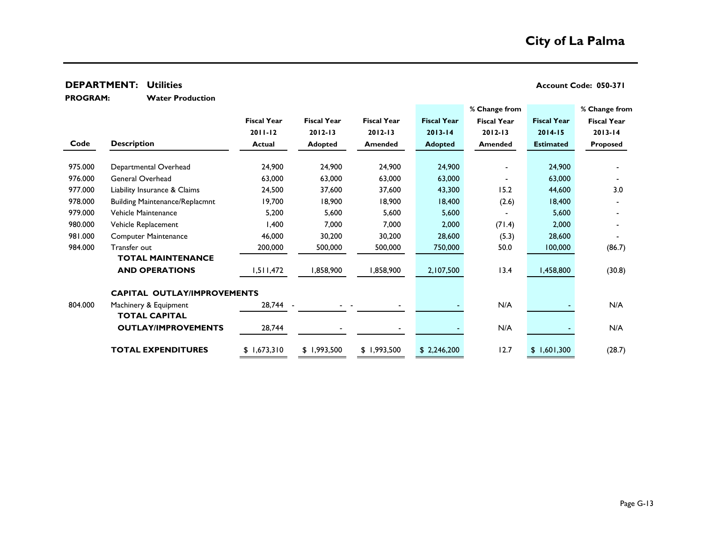**Water Production PROGRAM:** 

|         |                                       |                    |                    |                    |                    | % Change from      |                    | % Change from      |
|---------|---------------------------------------|--------------------|--------------------|--------------------|--------------------|--------------------|--------------------|--------------------|
|         |                                       | <b>Fiscal Year</b> | <b>Fiscal Year</b> | <b>Fiscal Year</b> | <b>Fiscal Year</b> | <b>Fiscal Year</b> | <b>Fiscal Year</b> | <b>Fiscal Year</b> |
|         |                                       | $2011 - 12$        | $2012 - 13$        | $2012 - 13$        | $2013 - 14$        | $2012 - 13$        | $2014 - 15$        | $2013 - 14$        |
| Code    | <b>Description</b>                    | <b>Actual</b>      | <b>Adopted</b>     | <b>Amended</b>     | <b>Adopted</b>     | <b>Amended</b>     | <b>Estimated</b>   | <b>Proposed</b>    |
|         |                                       |                    |                    |                    |                    |                    |                    |                    |
| 975.000 | Departmental Overhead                 | 24,900             | 24,900             | 24,900             | 24,900             |                    | 24,900             |                    |
| 976.000 | General Overhead                      | 63,000             | 63,000             | 63,000             | 63,000             |                    | 63,000             |                    |
| 977.000 | Liability Insurance & Claims          | 24,500             | 37,600             | 37,600             | 43,300             | 15.2               | 44,600             | 3.0                |
| 978.000 | <b>Building Maintenance/Replacmnt</b> | 19,700             | 18,900             | 18,900             | 18,400             | (2.6)              | 18,400             |                    |
| 979.000 | Vehicle Maintenance                   | 5,200              | 5,600              | 5,600              | 5,600              |                    | 5,600              |                    |
| 980.000 | Vehicle Replacement                   | 1,400              | 7,000              | 7,000              | 2,000              | (71.4)             | 2,000              |                    |
| 981.000 | <b>Computer Maintenance</b>           | 46,000             | 30,200             | 30,200             | 28,600             | (5.3)              | 28,600             |                    |
| 984.000 | Transfer out                          | 200,000            | 500,000            | 500,000            | 750,000            | 50.0               | 100,000            | (86.7)             |
|         | <b>TOTAL MAINTENANCE</b>              |                    |                    |                    |                    |                    |                    |                    |
|         | <b>AND OPERATIONS</b>                 | 1,511,472          | 1,858,900          | 858,900,           | 2,107,500          | 13.4               | 1,458,800          | (30.8)             |
|         | <b>CAPITAL OUTLAY/IMPROVEMENTS</b>    |                    |                    |                    |                    |                    |                    |                    |
| 804.000 | Machinery & Equipment                 | 28,744             |                    |                    |                    | N/A                |                    | N/A                |
|         | <b>TOTAL CAPITAL</b>                  |                    |                    |                    |                    |                    |                    |                    |
|         | <b>OUTLAY/IMPROVEMENTS</b>            | 28,744             |                    |                    |                    | N/A                |                    | N/A                |
|         | <b>TOTAL EXPENDITURES</b>             | \$1,673,310        | \$1,993,500        | \$1,993,500        | \$2,246,200        | 12.7               | \$1,601,300        | (28.7)             |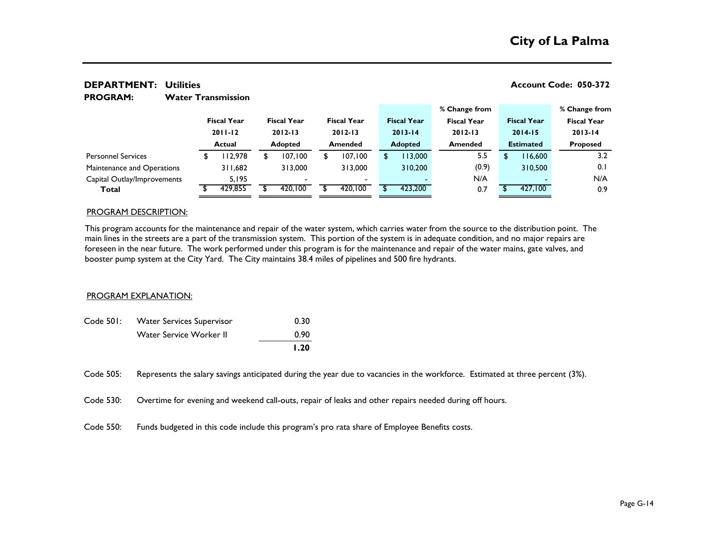#### **% Change from % Change from Fiscal Year Fiscal Year Fiscal Year Fiscal Year Fiscal Year Fiscal Year Fiscal Year 2011-12 2012-13 2012-13 2013-14 2012-13 2014-15 2013-14 Actual Adopted Amended Adopted Amended Estimated Proposed** \$ 112,978 \$ 107,100 \$ 107,100 \$ 113,000 5.5 \$ 116,600 3.2 311,682 313,000 313,000 310,200 (0.9) 310,500 0.1 5,195 - - - N/A - N/A **Total** \$ 429,855 \$ 420,100 \$ 420,100 \$ 423,200 0.7 \$ 427,100 0.9 Capital Outlay/Improvements Maintenance and Operations Personnel Services

#### **DEPARTMENT: Account Code: 050-372 Utilities Water Transmission PROGRAM:**

#### PROGRAM DESCRIPTION:

This program accounts for the maintenance and repair of the water system, which carries water from the source to the distribution point. The main lines in the streets are a part of the transmission system. This portion of the system is in adequate condition, and no major repairs are foreseen in the near future. The work performed under this program is for the maintenance and repair of the water mains, gate valves, and booster pump system at the City Yard. The City maintains 38.4 miles of pipelines and 500 fire hydrants.

#### PROGRAM EXPLANATION:

| Code 501: | <b>Water Services Supervisor</b> | 0.30 |
|-----------|----------------------------------|------|
|           | Water Service Worker II          | 0.90 |
|           |                                  | 1.20 |

Code 505: Represents the salary savings anticipated during the year due to vacancies in the workforce. Estimated at three percent (3%).

Code 530: Overtime for evening and weekend call-outs, repair of leaks and other repairs needed during off hours.

Code 550: Funds budgeted in this code include this program's pro rata share of Employee Benefits costs.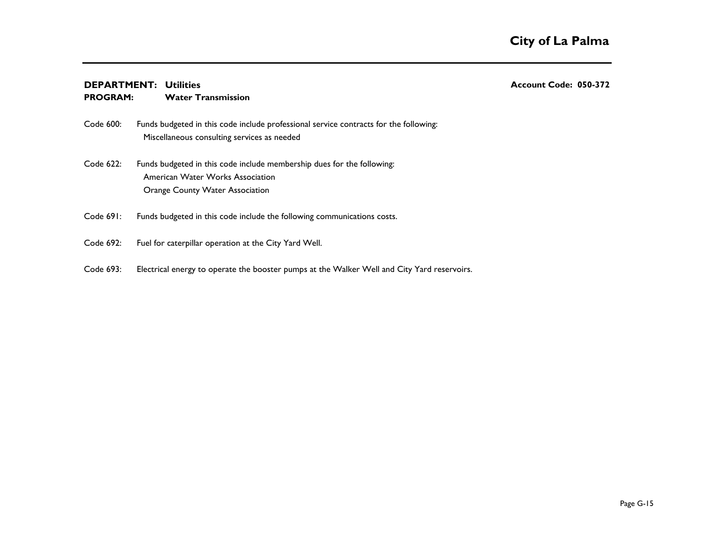### **DEPARTMENT: Account Code: 050-372 Utilities**

#### **Water Transmission PROGRAM:**

- Code 600: Miscellaneous consulting services as needed Funds budgeted in this code include professional service contracts for the following:
- Code 622: Funds budgeted in this code include membership dues for the following: American Water Works Association Orange County Water Association
- Code 691: Funds budgeted in this code include the following communications costs.
- Code 692: Fuel for caterpillar operation at the City Yard Well.
- Code 693: Electrical energy to operate the booster pumps at the Walker Well and City Yard reservoirs.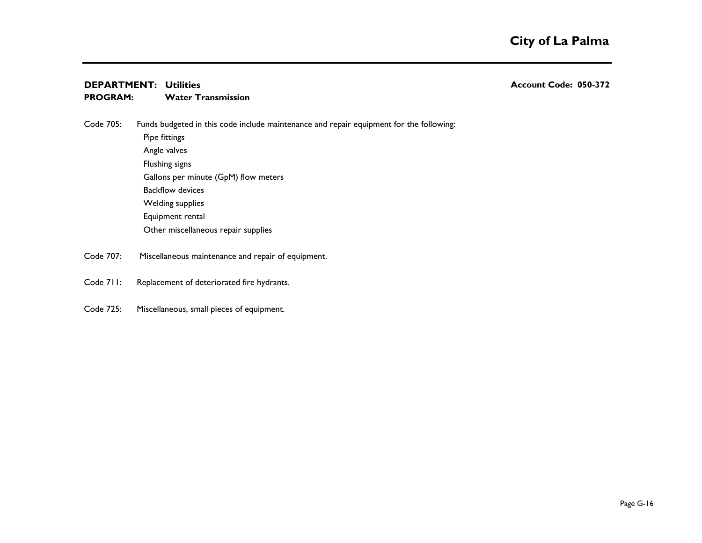#### **DEPARTMENT: Account Code: 050-372 Utilities Water Transmission PROGRAM:**

Code 705: Funds budgeted in this code include maintenance and repair equipment for the following:

Pipe fittings Angle valves Flushing signs Gallons per minute (GpM) flow meters Backflow devices Welding supplies Equipment rental Other miscellaneous repair supplies

- Code 707: Miscellaneous maintenance and repair of equipment.
- Code 711: Replacement of deteriorated fire hydrants.
- Code 725: Miscellaneous, small pieces of equipment.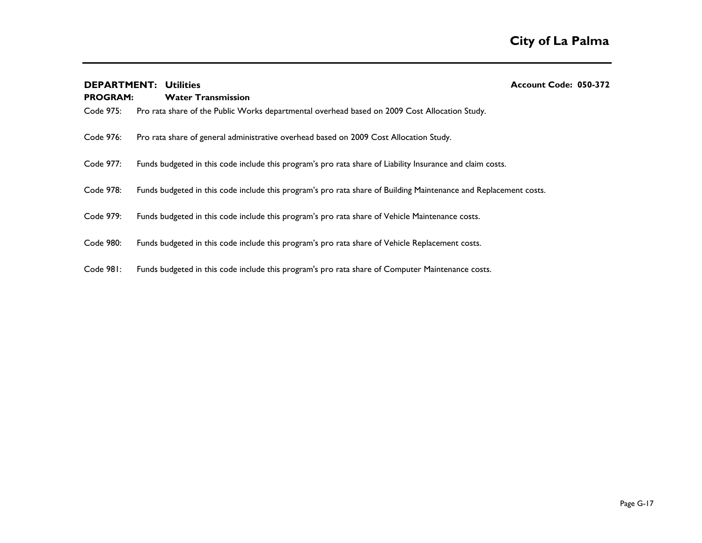| <b>PROGRAM:</b> | <b>DEPARTMENT: Utilities</b><br><b>Water Transmission</b>                                                        | Account Code: 050-372 |
|-----------------|------------------------------------------------------------------------------------------------------------------|-----------------------|
| Code 975:       | Pro rata share of the Public Works departmental overhead based on 2009 Cost Allocation Study.                    |                       |
| Code 976:       | Pro rata share of general administrative overhead based on 2009 Cost Allocation Study.                           |                       |
| Code 977:       | Funds budgeted in this code include this program's pro rata share of Liability Insurance and claim costs.        |                       |
| Code 978:       | Funds budgeted in this code include this program's pro rata share of Building Maintenance and Replacement costs. |                       |
| Code 979:       | Funds budgeted in this code include this program's pro rata share of Vehicle Maintenance costs.                  |                       |
| Code 980:       | Funds budgeted in this code include this program's pro rata share of Vehicle Replacement costs.                  |                       |
| Code 981:       | Funds budgeted in this code include this program's pro rata share of Computer Maintenance costs.                 |                       |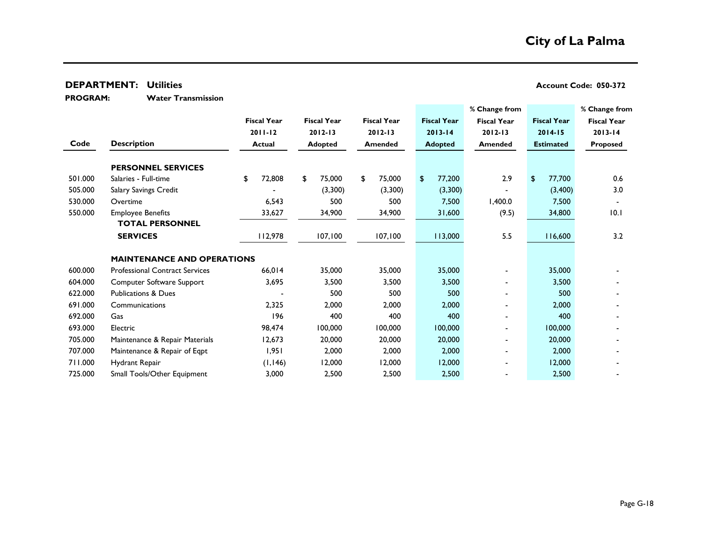**PROGRAM:** 

**Water Transmission**

|         |                                       |                    |                                  |                    |                    | % Change from            |                    | % Change from      |
|---------|---------------------------------------|--------------------|----------------------------------|--------------------|--------------------|--------------------------|--------------------|--------------------|
|         |                                       | <b>Fiscal Year</b> | <b>Fiscal Year</b>               | <b>Fiscal Year</b> | <b>Fiscal Year</b> | <b>Fiscal Year</b>       | <b>Fiscal Year</b> | <b>Fiscal Year</b> |
|         |                                       | $2011 - 12$        | $2012 - 13$                      | $2012 - 13$        | $2013 - 14$        | $2012 - 13$              | $2014 - 15$        | $2013 - 14$        |
| Code    | <b>Description</b>                    | <b>Actual</b>      | <b>Adopted</b><br><b>Amended</b> |                    | <b>Adopted</b>     | Amended                  | <b>Estimated</b>   | Proposed           |
|         | <b>PERSONNEL SERVICES</b>             |                    |                                  |                    |                    |                          |                    |                    |
| 501.000 | Salaries - Full-time                  | 72,808<br>\$       | 75,000<br>\$                     | \$<br>75,000       | 77,200<br>\$       | 2.9                      | 77,700<br>\$       | 0.6                |
| 505.000 | Salary Savings Credit                 |                    | (3,300)                          | (3,300)            | (3,300)            |                          | (3,400)            | 3.0                |
| 530.000 | Overtime                              | 6,543              | 500                              | 500                | 7,500              | 1,400.0                  | 7,500              |                    |
| 550.000 | <b>Employee Benefits</b>              | 33,627             | 34,900                           | 34,900             | 31,600             | (9.5)                    | 34,800             | 10.1               |
|         | <b>TOTAL PERSONNEL</b>                |                    |                                  |                    |                    |                          |                    |                    |
|         | <b>SERVICES</b>                       | 112,978            | 107,100                          | 107,100            | 113,000            | 5.5                      | 116,600            | 3.2                |
|         |                                       |                    |                                  |                    |                    |                          |                    |                    |
|         | <b>MAINTENANCE AND OPERATIONS</b>     |                    |                                  |                    |                    |                          |                    |                    |
| 600.000 | <b>Professional Contract Services</b> | 66,014             | 35,000                           | 35,000             | 35,000             | $\blacksquare$           | 35,000             |                    |
| 604.000 | Computer Software Support             | 3,695              | 3,500                            | 3,500              | 3,500              | $\blacksquare$           | 3,500              |                    |
| 622.000 | <b>Publications &amp; Dues</b>        |                    | 500                              | 500                | 500                | $\blacksquare$           | 500                |                    |
| 691.000 | Communications                        | 2,325              | 2,000                            | 2,000              | 2,000              |                          | 2,000              |                    |
| 692.000 | Gas                                   | 196                | 400                              | 400                | 400                | $\overline{\phantom{0}}$ | 400                |                    |
| 693.000 | Electric                              | 98,474             | 100,000                          | 100,000            | 100,000            |                          | 100,000            |                    |
| 705.000 | Maintenance & Repair Materials        | 12,673             | 20,000                           | 20,000             | 20,000             | $\blacksquare$           | 20,000             |                    |
| 707.000 | Maintenance & Repair of Eqpt          | 1,951              | 2,000                            | 2,000              | 2,000              | $\blacksquare$           | 2,000              |                    |
| 711.000 | Hydrant Repair                        | (1, 146)           | 12,000                           | 12,000             | 12,000             |                          | 12,000             |                    |
| 725.000 | Small Tools/Other Equipment           | 3,000              | 2,500                            | 2,500              | 2,500              |                          | 2,500              |                    |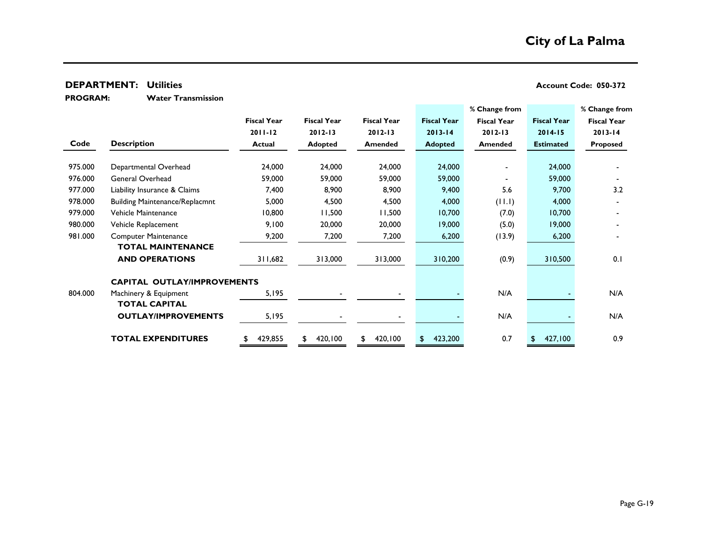**Water Transmission PROGRAM:** 

|         |                                       |                    |                    |                    |                    | % Change from      |                    | % Change from      |
|---------|---------------------------------------|--------------------|--------------------|--------------------|--------------------|--------------------|--------------------|--------------------|
|         |                                       | <b>Fiscal Year</b> | <b>Fiscal Year</b> | <b>Fiscal Year</b> | <b>Fiscal Year</b> | <b>Fiscal Year</b> | <b>Fiscal Year</b> | <b>Fiscal Year</b> |
|         |                                       | $2011 - 12$        | $2012 - 13$        | $2012 - 13$        | $2013 - 14$        | $2012 - 13$        | $2014 - 15$        | $2013 - 14$        |
| Code    | <b>Description</b>                    | <b>Actual</b>      | <b>Adopted</b>     | <b>Amended</b>     | <b>Adopted</b>     | Amended            | <b>Estimated</b>   | Proposed           |
|         |                                       |                    |                    |                    |                    |                    |                    |                    |
| 975.000 | Departmental Overhead                 | 24,000             | 24,000             | 24,000             | 24,000             |                    | 24,000             |                    |
| 976.000 | General Overhead                      | 59,000             | 59,000             | 59,000             | 59,000             |                    | 59,000             |                    |
| 977.000 | Liability Insurance & Claims          | 7,400              | 8,900              | 8,900              | 9,400              | 5.6                | 9,700              | 3.2                |
| 978.000 | <b>Building Maintenance/Replacmnt</b> | 5,000              | 4,500              | 4,500              | 4,000              | (11.1)             | 4,000              |                    |
| 979.000 | Vehicle Maintenance                   | 10,800             | 11,500             | 11,500             | 10,700             | (7.0)              | 10,700             |                    |
| 980.000 | Vehicle Replacement                   | 9,100              | 20,000             | 20,000             | 19,000             | (5.0)              | 19,000             |                    |
| 981.000 | <b>Computer Maintenance</b>           | 9,200              | 7,200              | 7,200              | 6,200              | (13.9)             | 6,200              |                    |
|         | <b>TOTAL MAINTENANCE</b>              |                    |                    |                    |                    |                    |                    |                    |
|         | <b>AND OPERATIONS</b>                 | 311,682            | 313,000            | 313,000            | 310,200            | (0.9)              | 310,500            | 0.1                |
|         | <b>CAPITAL OUTLAY/IMPROVEMENTS</b>    |                    |                    |                    |                    |                    |                    |                    |
| 804.000 | Machinery & Equipment                 | 5,195              |                    |                    |                    | N/A                |                    | N/A                |
|         | <b>TOTAL CAPITAL</b>                  |                    |                    |                    |                    |                    |                    |                    |
|         | <b>OUTLAY/IMPROVEMENTS</b>            | 5,195              |                    |                    |                    | N/A                |                    | N/A                |
|         | <b>TOTAL EXPENDITURES</b>             | 429,855            | 420,100            | 420,100<br>\$      | 423,200<br>\$.     | 0.7                | 427,100            | 0.9                |
|         |                                       |                    |                    |                    |                    |                    |                    |                    |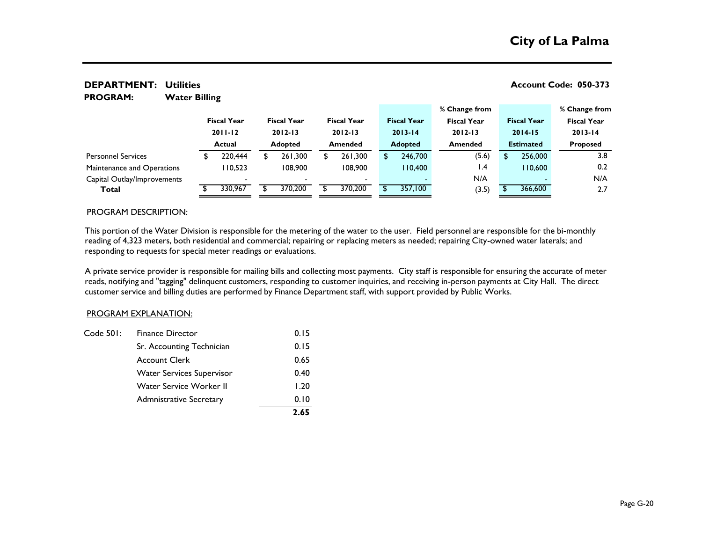#### **Water Billing % Change from % Change from Fiscal Year Fiscal Year Fiscal Year Fiscal Year Fiscal Year Fiscal Year Fiscal Year 2011-12 2012-13 2012-13 2013-14 2012-13 2014-15 2013-14 Actual Adopted Amended Adopted Amended Estimated Proposed** \$ 220,444 \$ 261,300 \$ 261,300 \$ 246,700 (5.6) \$ 256,000 3.8 110,523 108,900 108,900 110,400 1.4 110,600 0.2 - - - - N/A - N/A **Total** \$ 330,967 \$ 370,200 \$ 370,200 \$ 357,100 (3.5) \$ 366,600 2.7 Capital Outlay/Improvements Maintenance and Operations Personnel Services

#### **DEPARTMENT: Account Code: 050-373 Utilities PROGRAM:**

#### PROGRAM DESCRIPTION:

This portion of the Water Division is responsible for the metering of the water to the user. Field personnel are responsible for the bi-monthly reading of 4,323 meters, both residential and commercial; repairing or replacing meters as needed; repairing City-owned water laterals; and responding to requests for special meter readings or evaluations.

A private service provider is responsible for mailing bills and collecting most payments. City staff is responsible for ensuring the accurate of meter reads, notifying and "tagging" delinquent customers, responding to customer inquiries, and receiving in-person payments at City Hall. The direct customer service and billing duties are performed by Finance Department staff, with support provided by Public Works.

#### PROGRAM EXPLANATION:

|           |                                  | 2.65 |
|-----------|----------------------------------|------|
|           | <b>Admnistrative Secretary</b>   | 0.10 |
|           | Water Service Worker II          | 1.20 |
|           | <b>Water Services Supervisor</b> | 0.40 |
|           | <b>Account Clerk</b>             | 0.65 |
|           | Sr. Accounting Technician        | 0.15 |
| Code 501: | <b>Finance Director</b>          | 0.15 |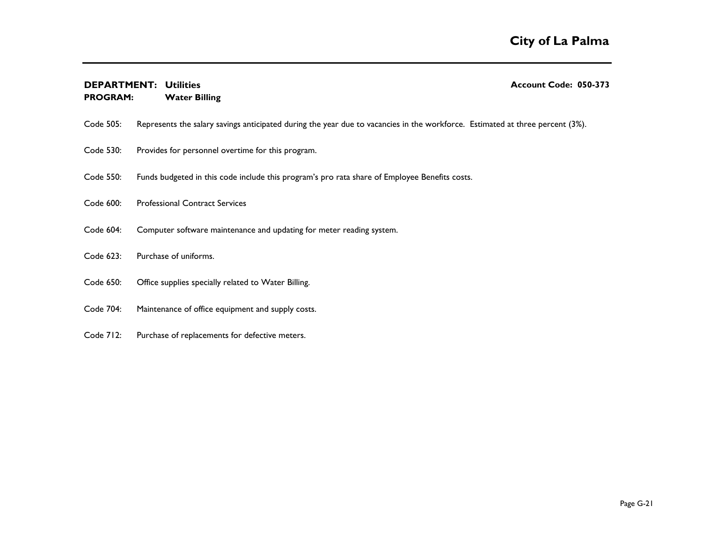# **DEPARTMENT: Account Code: 050-373 Utilities**

#### **Water Billing PROGRAM:**

Code 505: Represents the salary savings anticipated during the year due to vacancies in the workforce. Estimated at three percent (3%).

- Code 530: Provides for personnel overtime for this program.
- Code 550: Funds budgeted in this code include this program's pro rata share of Employee Benefits costs.
- Code 600: Professional Contract Services
- Code 604: Computer software maintenance and updating for meter reading system.
- Code 623: Purchase of uniforms.
- Code 650: Office supplies specially related to Water Billing.
- Code 704: Maintenance of office equipment and supply costs.
- Code 712: Purchase of replacements for defective meters.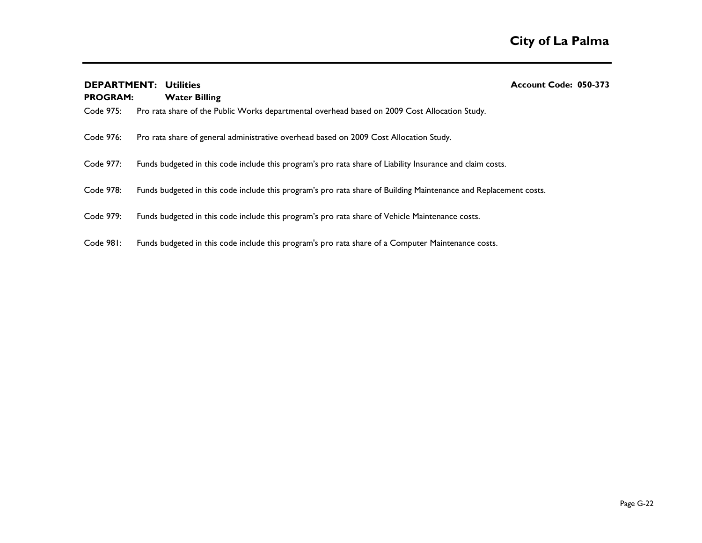| <b>PROGRAM:</b> | <b>DEPARTMENT: Utilities</b><br><b>Water Billing</b>                                                             | Account Code: 050-373 |
|-----------------|------------------------------------------------------------------------------------------------------------------|-----------------------|
| Code 975:       | Pro rata share of the Public Works departmental overhead based on 2009 Cost Allocation Study.                    |                       |
| Code 976:       | Pro rata share of general administrative overhead based on 2009 Cost Allocation Study.                           |                       |
| Code 977:       | Funds budgeted in this code include this program's pro rata share of Liability Insurance and claim costs.        |                       |
| Code 978:       | Funds budgeted in this code include this program's pro rata share of Building Maintenance and Replacement costs. |                       |
| Code 979:       | Funds budgeted in this code include this program's pro rata share of Vehicle Maintenance costs.                  |                       |
| Code 981:       | Funds budgeted in this code include this program's pro rata share of a Computer Maintenance costs.               |                       |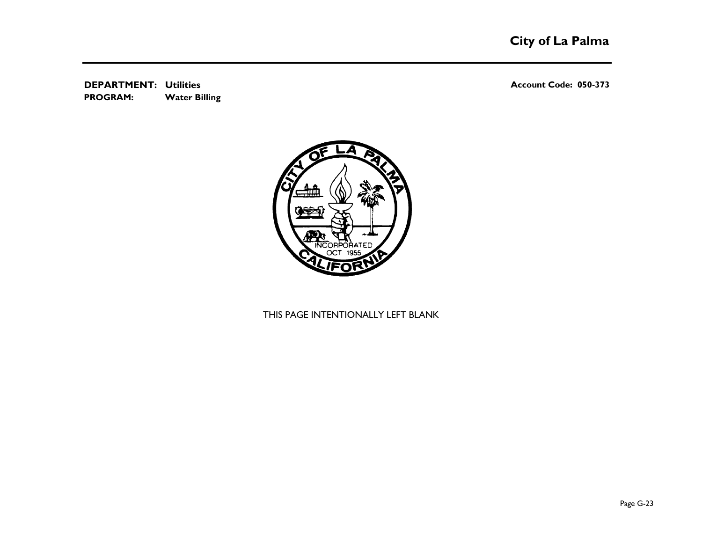**DEPARTMENT: Account Code: 050-373 Utilities Water Billing PROGRAM:** 



## THIS PAGE INTENTIONALLY LEFT BLANK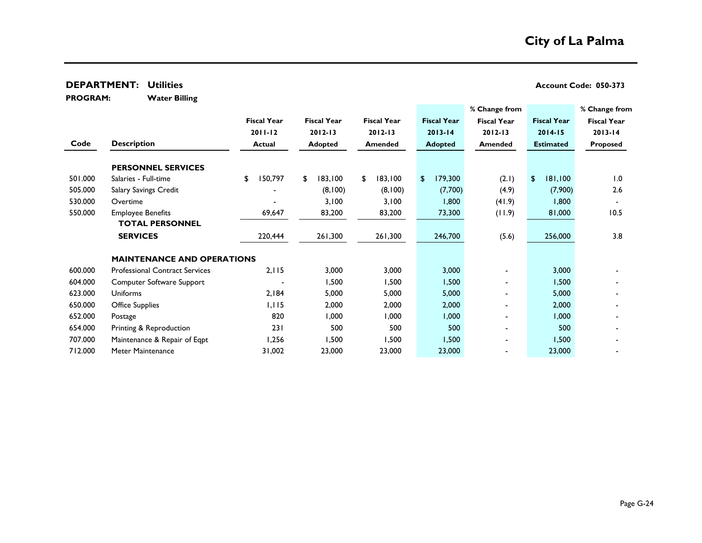**Water Billing PROGRAM:** 

|         |                                       |                    |                    |                    |                    | % Change from            |                    | % Change from      |  |
|---------|---------------------------------------|--------------------|--------------------|--------------------|--------------------|--------------------------|--------------------|--------------------|--|
|         |                                       | <b>Fiscal Year</b> | <b>Fiscal Year</b> | <b>Fiscal Year</b> | <b>Fiscal Year</b> | <b>Fiscal Year</b>       | <b>Fiscal Year</b> | <b>Fiscal Year</b> |  |
|         |                                       | $2011 - 12$        | $2012 - 13$        | $2012 - 13$        | $2013 - 14$        | $2012 - 13$              | $2014 - 15$        | $2013 - 14$        |  |
| Code    | <b>Description</b>                    | <b>Actual</b>      | <b>Adopted</b>     |                    | <b>Adopted</b>     | <b>Amended</b>           | <b>Estimated</b>   | <b>Proposed</b>    |  |
|         | <b>PERSONNEL SERVICES</b>             |                    |                    |                    |                    |                          |                    |                    |  |
| 501.000 | Salaries - Full-time                  | 150,797<br>\$      | 183,100<br>\$      | 183,100<br>\$      | 179,300<br>\$      | (2.1)                    | \$<br>181,100      | 1.0                |  |
| 505.000 | Salary Savings Credit                 |                    | (8,100)            | (8,100)            | (7,700)            | (4.9)                    | (7,900)            | 2.6                |  |
| 530.000 | Overtime                              |                    | 3,100              | 3,100              | 1,800              | (41.9)                   | 1,800              |                    |  |
| 550.000 | <b>Employee Benefits</b>              | 69,647             | 83,200             | 83,200             | 73,300             | (11.9)                   | 81,000             | 10.5               |  |
|         | <b>TOTAL PERSONNEL</b>                |                    |                    |                    |                    |                          |                    |                    |  |
|         | <b>SERVICES</b>                       | 220,444            | 261,300            | 261,300            | 246,700            | (5.6)                    | 256,000            | 3.8                |  |
|         | <b>MAINTENANCE AND OPERATIONS</b>     |                    |                    |                    |                    |                          |                    |                    |  |
| 600.000 | <b>Professional Contract Services</b> | 2,115              | 3,000              | 3,000              | 3,000              | $\blacksquare$           | 3,000              |                    |  |
| 604.000 | Computer Software Support             |                    | 1,500              | 1,500              | 1,500              |                          | 1,500              |                    |  |
| 623.000 | <b>Uniforms</b>                       | 2,184              | 5,000              | 5,000              | 5,000              |                          | 5,000              |                    |  |
| 650.000 | <b>Office Supplies</b>                | 1,115              | 2,000              | 2,000              | 2,000              | $\blacksquare$           | 2,000              |                    |  |
| 652.000 | Postage                               | 820                | 1,000              | 000,1              | 1,000              | -                        | 1,000              |                    |  |
| 654.000 | Printing & Reproduction               | 231                | 500                | 500                | 500                | -                        | 500                |                    |  |
| 707.000 | Maintenance & Repair of Eqpt          | 1,256              | 1,500              | 1,500              | 1,500              | $\overline{\phantom{0}}$ | 1,500              |                    |  |
| 712.000 | Meter Maintenance                     | 31,002             | 23,000             | 23,000             | 23,000             |                          | 23,000             |                    |  |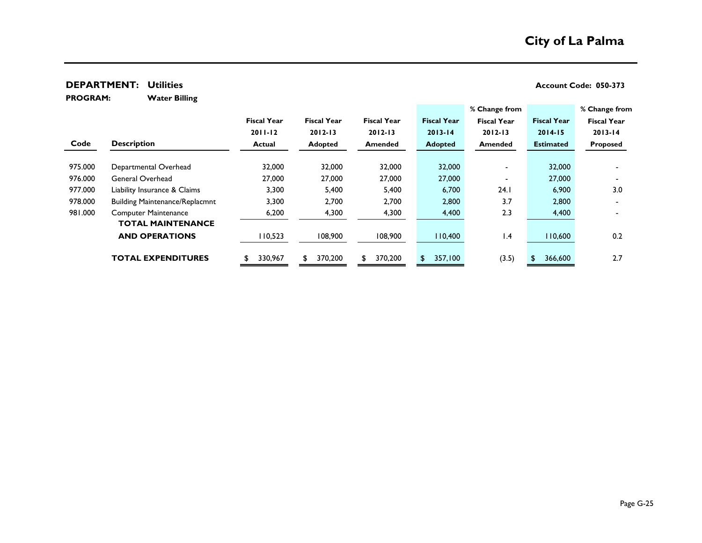**Water Billing PROGRAM:** 

|         |                                       |                    |                    |                    |                    | % Change from      |                    | % Change from      |
|---------|---------------------------------------|--------------------|--------------------|--------------------|--------------------|--------------------|--------------------|--------------------|
|         |                                       | <b>Fiscal Year</b> | <b>Fiscal Year</b> | <b>Fiscal Year</b> | <b>Fiscal Year</b> | <b>Fiscal Year</b> | <b>Fiscal Year</b> | <b>Fiscal Year</b> |
|         |                                       | $2011 - 12$        | $2012 - 13$        | $2012 - 13$        | $2013 - 14$        | $2012 - 13$        | $2014 - 15$        | $2013 - 14$        |
| Code    | <b>Description</b>                    | <b>Actual</b>      | <b>Adopted</b>     | <b>Amended</b>     | <b>Adopted</b>     | <b>Amended</b>     | <b>Estimated</b>   | <b>Proposed</b>    |
|         |                                       |                    |                    |                    |                    |                    |                    |                    |
| 975.000 | Departmental Overhead                 | 32,000             | 32,000             | 32,000             | 32,000             |                    | 32,000             |                    |
| 976.000 | General Overhead                      | 27,000             | 27,000             | 27,000             | 27,000             |                    | 27,000             |                    |
| 977.000 | Liability Insurance & Claims          | 3,300              | 5,400              | 5,400              | 6,700              | 24.1               | 6,900              | 3.0                |
| 978.000 | <b>Building Maintenance/Replacmnt</b> | 3,300              | 2,700              | 2,700              | 2,800              | 3.7                | 2,800              |                    |
| 981.000 | <b>Computer Maintenance</b>           | 6,200              | 4,300              | 4,300              | 4,400              | 2.3                | 4,400              |                    |
|         | <b>TOTAL MAINTENANCE</b>              |                    |                    |                    |                    |                    |                    |                    |
|         | <b>AND OPERATIONS</b>                 | 110,523            | 108,900            | 108,900            | 110,400            | $\mathsf{I}$ .4    | 110,600            | 0.2                |
|         | <b>TOTAL EXPENDITURES</b>             | 330,967            | 370,200            | 370,200<br>S       | 357,100<br>S.      | (3.5)              | 366,600            | 2.7                |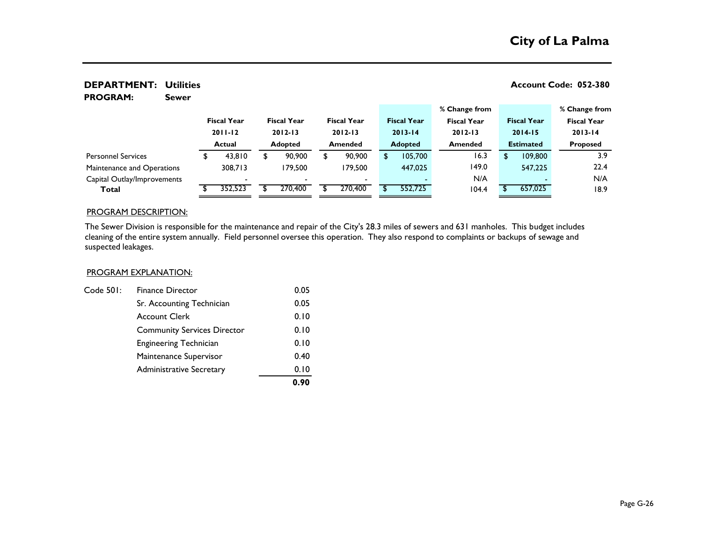### **DEPARTMENT:** Utilities **No. 2018** 2019 12:380

**Sewer PROGRAM:** 

|                             |                                   |         |                |                                   |                |                                   |  |                    |                                   | % Change from  |                                   |         | % Change from      |  |
|-----------------------------|-----------------------------------|---------|----------------|-----------------------------------|----------------|-----------------------------------|--|--------------------|-----------------------------------|----------------|-----------------------------------|---------|--------------------|--|
|                             | <b>Fiscal Year</b><br>$2011 - 12$ |         |                | <b>Fiscal Year</b><br>$2012 - 13$ |                | <b>Fiscal Year</b><br>$2012 - 13$ |  | <b>Fiscal Year</b> | <b>Fiscal Year</b><br>$2012 - 13$ |                | <b>Fiscal Year</b><br>$2014 - 15$ |         | <b>Fiscal Year</b> |  |
|                             |                                   |         |                |                                   |                |                                   |  | $2013 - 14$        |                                   |                |                                   |         | $2013 - 14$        |  |
|                             | Actual                            |         | <b>Adopted</b> |                                   | <b>Amended</b> |                                   |  | <b>Adopted</b>     |                                   | <b>Amended</b> | <b>Estimated</b>                  |         | <b>Proposed</b>    |  |
| <b>Personnel Services</b>   |                                   | 43,810  |                | 90,900                            | \$             | 90,900                            |  | 105,700            |                                   | 16.3           | ¢                                 | 109,800 | 3.9                |  |
| Maintenance and Operations  |                                   | 308.713 |                | 179.500                           |                | 179.500                           |  | 447,025            |                                   | 149.0          |                                   | 547,225 | 22.4               |  |
| Capital Outlay/Improvements |                                   |         |                | $\overline{\phantom{0}}$          |                |                                   |  |                    |                                   | N/A            |                                   |         | N/A                |  |
| Total                       |                                   | 352,523 |                | 270,400                           |                | 270,400                           |  | 552,725            |                                   | 104.4          |                                   | 657,025 | 18.9               |  |

#### PROGRAM DESCRIPTION:

The Sewer Division is responsible for the maintenance and repair of the City's 28.3 miles of sewers and 631 manholes. This budget includes cleaning of the entire system annually. Field personnel oversee this operation. They also respond to complaints or backups of sewage and suspected leakages.

#### PROGRAM EXPLANATION:

|           |                                    | 0.90 |
|-----------|------------------------------------|------|
|           | <b>Administrative Secretary</b>    | 0.10 |
|           | Maintenance Supervisor             | 0.40 |
|           | <b>Engineering Technician</b>      | 0.10 |
|           | <b>Community Services Director</b> | 0.10 |
|           | <b>Account Clerk</b>               | 0.10 |
|           | Sr. Accounting Technician          | 0.05 |
| Code 501: | <b>Finance Director</b>            | 0.05 |
|           |                                    |      |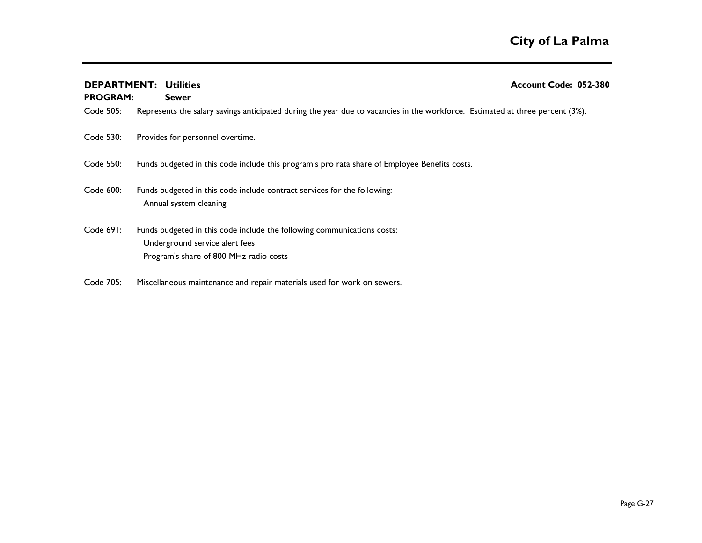|                 | <b>DEPARTMENT: Utilities</b>                                                                                                                        | Account Code: 052-380 |
|-----------------|-----------------------------------------------------------------------------------------------------------------------------------------------------|-----------------------|
| <b>PROGRAM:</b> | <b>Sewer</b>                                                                                                                                        |                       |
| Code 505:       | Represents the salary savings anticipated during the year due to vacancies in the workforce. Estimated at three percent (3%).                       |                       |
| Code 530:       | Provides for personnel overtime.                                                                                                                    |                       |
| Code 550:       | Funds budgeted in this code include this program's pro rata share of Employee Benefits costs.                                                       |                       |
| Code 600:       | Funds budgeted in this code include contract services for the following:<br>Annual system cleaning                                                  |                       |
| Code 691:       | Funds budgeted in this code include the following communications costs:<br>Underground service alert fees<br>Program's share of 800 MHz radio costs |                       |
| Code 705:       | Miscellaneous maintenance and repair materials used for work on sewers.                                                                             |                       |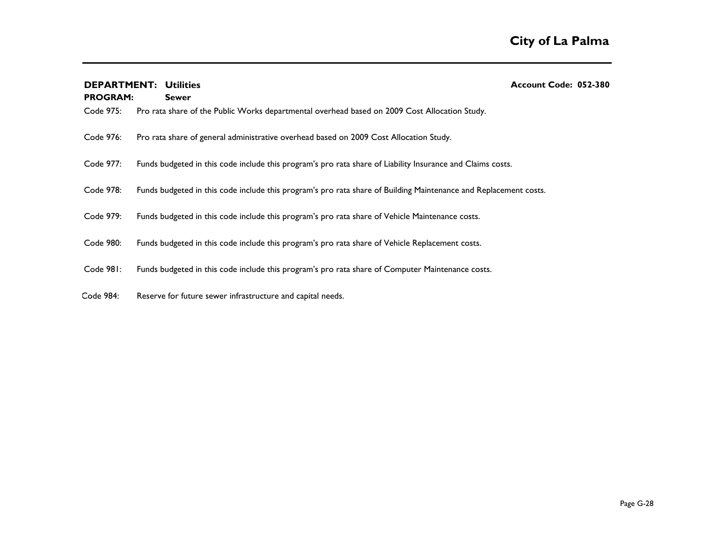| <b>DEPARTMENT: Utilities</b> |                                                                                                                  | Account Code: 052-380 |  |
|------------------------------|------------------------------------------------------------------------------------------------------------------|-----------------------|--|
| <b>PROGRAM:</b>              | <b>Sewer</b>                                                                                                     |                       |  |
| Code 975:                    | Pro rata share of the Public Works departmental overhead based on 2009 Cost Allocation Study.                    |                       |  |
| Code 976:                    | Pro rata share of general administrative overhead based on 2009 Cost Allocation Study.                           |                       |  |
| Code 977:                    | Funds budgeted in this code include this program's pro rata share of Liability Insurance and Claims costs.       |                       |  |
| Code 978:                    | Funds budgeted in this code include this program's pro rata share of Building Maintenance and Replacement costs. |                       |  |
| Code 979:                    | Funds budgeted in this code include this program's pro rata share of Vehicle Maintenance costs.                  |                       |  |
| Code 980:                    | Funds budgeted in this code include this program's pro rata share of Vehicle Replacement costs.                  |                       |  |
| Code 981:                    | Funds budgeted in this code include this program's pro rata share of Computer Maintenance costs.                 |                       |  |
| Code 984:                    | Reserve for future sewer infrastructure and capital needs.                                                       |                       |  |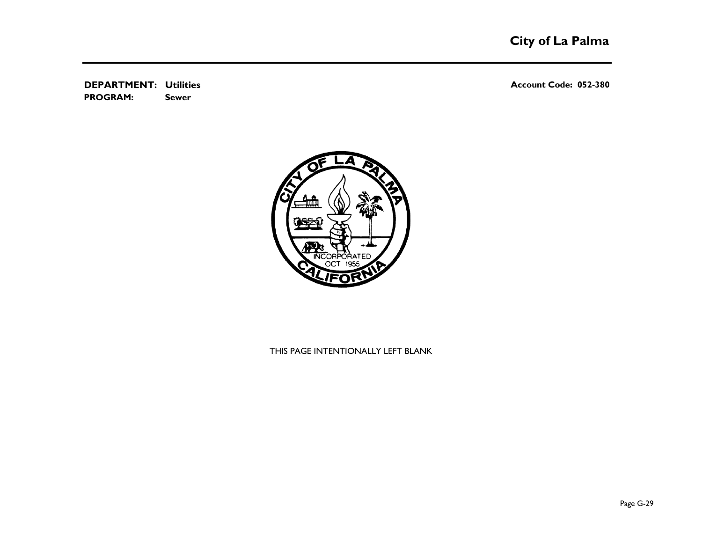**DEPARTMENT:** Utilities **No. 2018** 2019 12:380 **Sewer PROGRAM:** 



### THIS PAGE INTENTIONALLY LEFT BLANK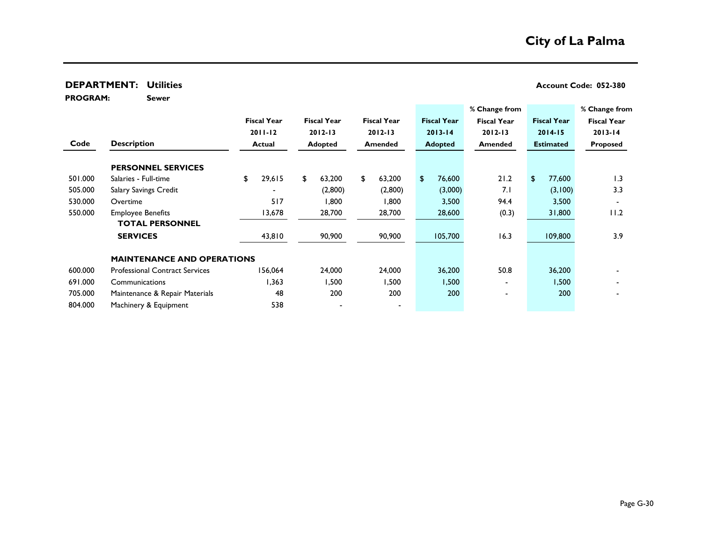**Sewer PROGRAM:** 

|         |                                       |                    |                    |                    |                    | % Change from      |                    | % Change from      |
|---------|---------------------------------------|--------------------|--------------------|--------------------|--------------------|--------------------|--------------------|--------------------|
|         |                                       | <b>Fiscal Year</b> | <b>Fiscal Year</b> | <b>Fiscal Year</b> | <b>Fiscal Year</b> | <b>Fiscal Year</b> | <b>Fiscal Year</b> | <b>Fiscal Year</b> |
|         |                                       | $2011 - 12$        | $2012 - 13$        | $2012 - 13$        | $2013 - 14$        | $2012 - 13$        | $2014 - 15$        | $2013 - 14$        |
| Code    | <b>Description</b>                    | <b>Actual</b>      | Adopted            | <b>Amended</b>     | <b>Adopted</b>     | Amended            | <b>Estimated</b>   | <b>Proposed</b>    |
|         | <b>PERSONNEL SERVICES</b>             |                    |                    |                    |                    |                    |                    |                    |
| 501.000 | Salaries - Full-time                  | 29,615<br>\$       | \$<br>63,200       | \$<br>63,200       | 76,600<br>\$       | 21.2               | 77,600<br>\$       | 1.3                |
| 505.000 | Salary Savings Credit                 |                    | (2,800)            | (2,800)            | (3,000)            | 7.1                | (3,100)            | 3.3                |
| 530.000 | Overtime                              | 517                | 1,800              | 1,800              | 3,500              | 94.4               | 3,500              |                    |
| 550.000 | <b>Employee Benefits</b>              | 13,678             | 28,700             | 28,700             | 28,600             | (0.3)              | 31,800             | 11.2               |
|         | <b>TOTAL PERSONNEL</b>                |                    |                    |                    |                    |                    |                    |                    |
|         | <b>SERVICES</b>                       | 43,810             | 90,900             | 90,900             | 105,700            | 16.3               | 109,800            | 3.9                |
|         | <b>MAINTENANCE AND OPERATIONS</b>     |                    |                    |                    |                    |                    |                    |                    |
| 600.000 | <b>Professional Contract Services</b> | 156,064            | 24,000             | 24,000             | 36,200             | 50.8               | 36,200             |                    |
| 691.000 | Communications                        | 1,363              | 500,۱              | 1,500              | 1,500              | $\,$               | 500.ا              |                    |
| 705.000 | Maintenance & Repair Materials        | 48                 | 200                | 200                | 200                | $\blacksquare$     | 200                |                    |
| 804.000 | Machinery & Equipment                 | 538                |                    |                    |                    |                    |                    |                    |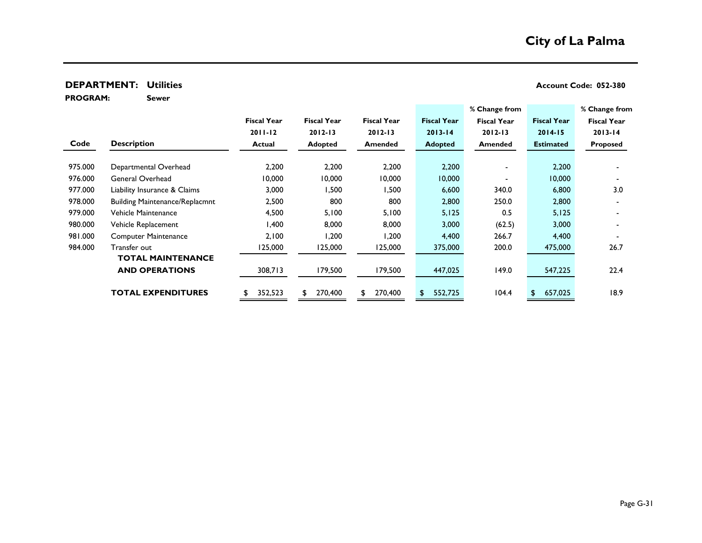**Sewer**

**PROGRAM:** 

|         |                                       |                    |                    |                    |                    | % Change from      |                    | % Change from      |
|---------|---------------------------------------|--------------------|--------------------|--------------------|--------------------|--------------------|--------------------|--------------------|
|         |                                       | <b>Fiscal Year</b> | <b>Fiscal Year</b> | <b>Fiscal Year</b> | <b>Fiscal Year</b> | <b>Fiscal Year</b> | <b>Fiscal Year</b> | <b>Fiscal Year</b> |
|         |                                       | $2011 - 12$        | $2012 - 13$        | $2012 - 13$        | $2013 - 14$        | $2012 - 13$        | $2014 - 15$        | $2013 - 14$        |
| Code    | <b>Description</b>                    | <b>Actual</b>      | <b>Adopted</b>     | <b>Amended</b>     | <b>Adopted</b>     | <b>Amended</b>     | <b>Estimated</b>   | Proposed           |
|         |                                       |                    |                    |                    |                    |                    |                    |                    |
| 975.000 | Departmental Overhead                 | 2,200              | 2,200              | 2,200              | 2,200              |                    | 2,200              |                    |
| 976.000 | General Overhead                      | 10,000             | 10,000             | 10,000             | 10,000             |                    | 10,000             |                    |
| 977.000 | Liability Insurance & Claims          | 3,000              | 1,500              | 1,500              | 6,600              | 340.0              | 6,800              | 3.0                |
| 978.000 | <b>Building Maintenance/Replacmnt</b> | 2,500              | 800                | 800                | 2,800              | 250.0              | 2,800              |                    |
| 979.000 | Vehicle Maintenance                   | 4,500              | 5,100              | 5,100              | 5,125              | 0.5                | 5,125              |                    |
| 980.000 | Vehicle Replacement                   | 1,400              | 8,000              | 8,000              | 3,000              | (62.5)             | 3,000              |                    |
| 981.000 | <b>Computer Maintenance</b>           | 2,100              | 1,200              | 1,200              | 4,400              | 266.7              | 4,400              |                    |
| 984.000 | Transfer out                          | 125,000            | 125,000            | 125,000            | 375,000            | 200.0              | 475,000            | 26.7               |
|         | <b>TOTAL MAINTENANCE</b>              |                    |                    |                    |                    |                    |                    |                    |
|         | <b>AND OPERATIONS</b>                 | 308,713            | 179,500            | 179,500            | 447,025            | 149.0              | 547,225            | 22.4               |
|         |                                       |                    |                    |                    |                    |                    |                    |                    |
|         | <b>TOTAL EXPENDITURES</b>             | 352,523            | 270,400            | 270,400<br>\$      | 552,725            | 104.4              | 657,025            | 18.9               |
|         |                                       |                    |                    |                    |                    |                    |                    |                    |